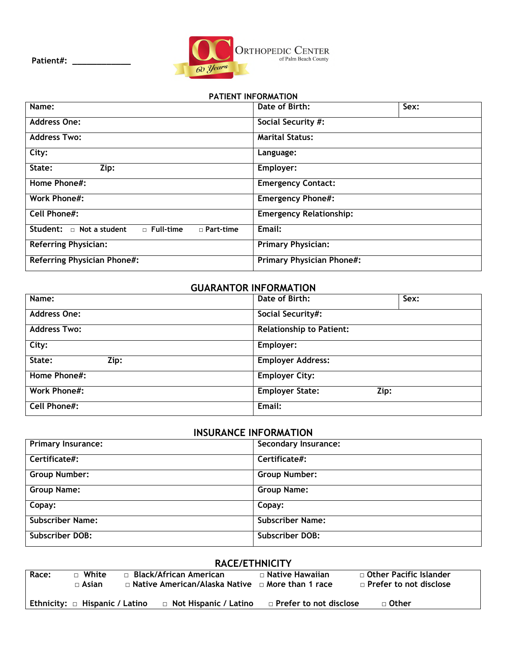

## **PATIENT INFORMATION**

| Name:                                                                 | Date of Birth:                   | Sex: |
|-----------------------------------------------------------------------|----------------------------------|------|
| <b>Address One:</b>                                                   | Social Security #:               |      |
| <b>Address Two:</b>                                                   | <b>Marital Status:</b>           |      |
| City:                                                                 | Language:                        |      |
| State:<br>Zip:                                                        | Employer:                        |      |
| Home Phone#:                                                          | <b>Emergency Contact:</b>        |      |
| <b>Work Phone#:</b>                                                   | <b>Emergency Phone#:</b>         |      |
| <b>Cell Phone#:</b>                                                   | <b>Emergency Relationship:</b>   |      |
| Student: $\Box$ Not a student<br>$\Box$ Full-time<br>$\Box$ Part-time | Email:                           |      |
| <b>Referring Physician:</b>                                           | <b>Primary Physician:</b>        |      |
| <b>Referring Physician Phone#:</b>                                    | <b>Primary Physician Phone#:</b> |      |

## **GUARANTOR INFORMATION**

| Name:               | Sex:<br>Date of Birth:          |
|---------------------|---------------------------------|
| <b>Address One:</b> | Social Security#:               |
| <b>Address Two:</b> | <b>Relationship to Patient:</b> |
| City:               | Employer:                       |
| State:<br>Zip:      | <b>Employer Address:</b>        |
| Home Phone#:        | <b>Employer City:</b>           |
| <b>Work Phone#:</b> | <b>Employer State:</b><br>Zip:  |
| <b>Cell Phone#:</b> | Email:                          |

## **INSURANCE INFORMATION**

| <b>Primary Insurance:</b> | <b>Secondary Insurance:</b> |
|---------------------------|-----------------------------|
| Certificate#:             | Certificate#:               |
| <b>Group Number:</b>      | <b>Group Number:</b>        |
| <b>Group Name:</b>        | <b>Group Name:</b>          |
| Copay:                    | Copay:                      |
| <b>Subscriber Name:</b>   | <b>Subscriber Name:</b>     |
| <b>Subscriber DOB:</b>    | <b>Subscriber DOB:</b>      |

## **RACE/ETHNICITY**

| Race: | White<br>n.<br>$\sqcap$ Asian       | $\Box$ Black/African American<br>$\Box$ Native American/Alaska Native $\Box$ More than 1 race | $\Box$ Native Hawaiian        | $\Box$ Other Pacific Islander<br>$\Box$ Prefer to not disclose |
|-------|-------------------------------------|-----------------------------------------------------------------------------------------------|-------------------------------|----------------------------------------------------------------|
|       | Ethnicity: $\Box$ Hispanic / Latino | □ Not Hispanic / Latino                                                                       | $\Box$ Prefer to not disclose | $\sqcap$ Other                                                 |